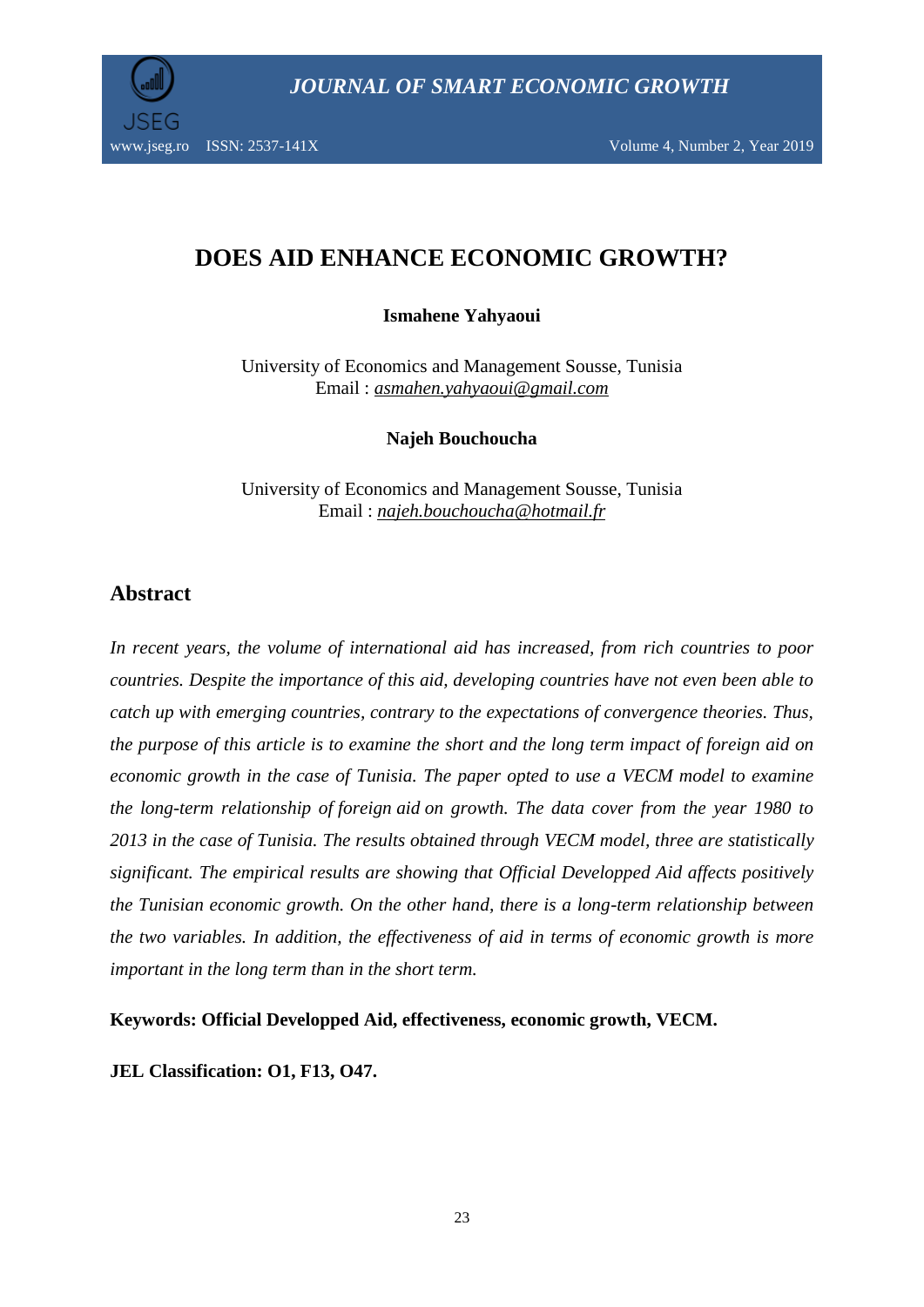# **DOES AID ENHANCE ECONOMIC GROWTH?**

**Ismahene Yahyaoui**

University of Economics and Management Sousse, Tunisia Email : *[asmahen.yahyaoui@gmail.com](mailto:asmahen.yahyaoui@gmail.com)*

**Najeh Bouchoucha**

University of Economics and Management Sousse, Tunisia Email : *najeh.bouchoucha@hotmail.fr*

## **Abstract**

*In recent years, the volume of international aid has increased, from rich countries to poor countries. Despite the importance of this aid, developing countries have not even been able to catch up with emerging countries, contrary to the expectations of convergence theories. Thus, the purpose of this article is to examine the short and the long term impact of foreign aid on economic growth in the case of Tunisia. The paper opted to use a VECM model to examine the long-term relationship of foreign aid on growth. The data cover from the year 1980 to 2013 in the case of Tunisia. The results obtained through VECM model, three are statistically significant. The empirical results are showing that Official Developped Aid affects positively the Tunisian economic growth. On the other hand, there is a long-term relationship between the two variables. In addition, the effectiveness of aid in terms of economic growth is more important in the long term than in the short term.*

**Keywords: Official Developped Aid, effectiveness, economic growth, VECM.**

**JEL Classification: O1, F13, O47.**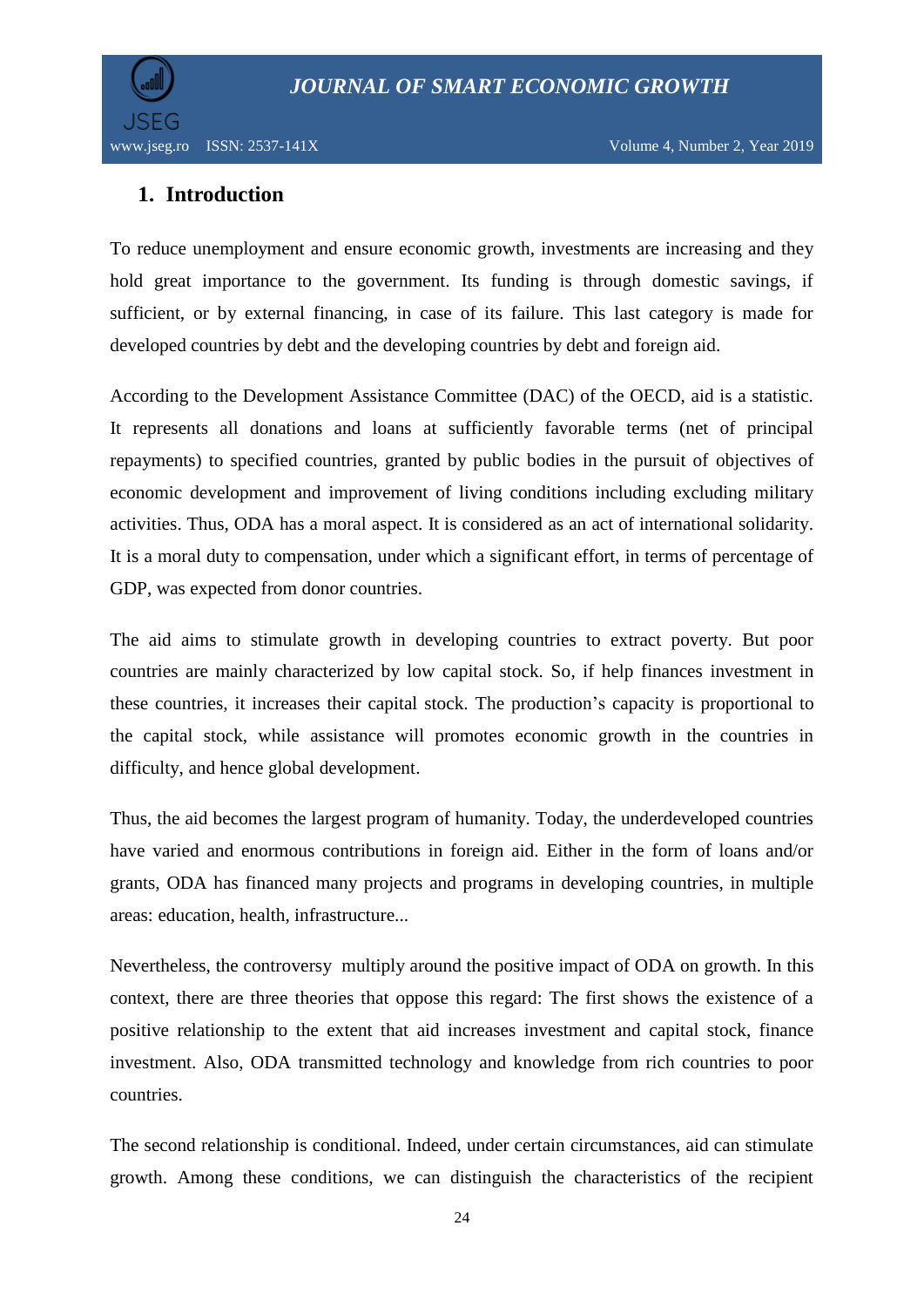

www.jseg.ro ISSN: 2537-141X Volume 4, Number 2, Year 2019

# **1. Introduction**

To reduce unemployment and ensure economic growth, investments are increasing and they hold great importance to the government. Its funding is through domestic savings, if sufficient, or by external financing, in case of its failure. This last category is made for developed countries by debt and the developing countries by debt and foreign aid.

According to the Development Assistance Committee (DAC) of the OECD, aid is a statistic. It represents all donations and loans at sufficiently favorable terms (net of principal repayments) to specified countries, granted by public bodies in the pursuit of objectives of economic development and improvement of living conditions including excluding military activities. Thus, ODA has a moral aspect. It is considered as an act of international solidarity. It is a moral duty to compensation, under which a significant effort, in terms of percentage of GDP, was expected from donor countries.

The aid aims to stimulate growth in developing countries to extract poverty. But poor countries are mainly characterized by low capital stock. So, if help finances investment in these countries, it increases their capital stock. The production"s capacity is proportional to the capital stock, while assistance will promotes economic growth in the countries in difficulty, and hence global development.

Thus, the aid becomes the largest program of humanity. Today, the underdeveloped countries have varied and enormous contributions in foreign aid. Either in the form of loans and/or grants, ODA has financed many projects and programs in developing countries, in multiple areas: education, health, infrastructure...

Nevertheless, the controversy multiply around the positive impact of ODA on growth. In this context, there are three theories that oppose this regard: The first shows the existence of a positive relationship to the extent that aid increases investment and capital stock, finance investment. Also, ODA transmitted technology and knowledge from rich countries to poor countries.

The second relationship is conditional. Indeed, under certain circumstances, aid can stimulate growth. Among these conditions, we can distinguish the characteristics of the recipient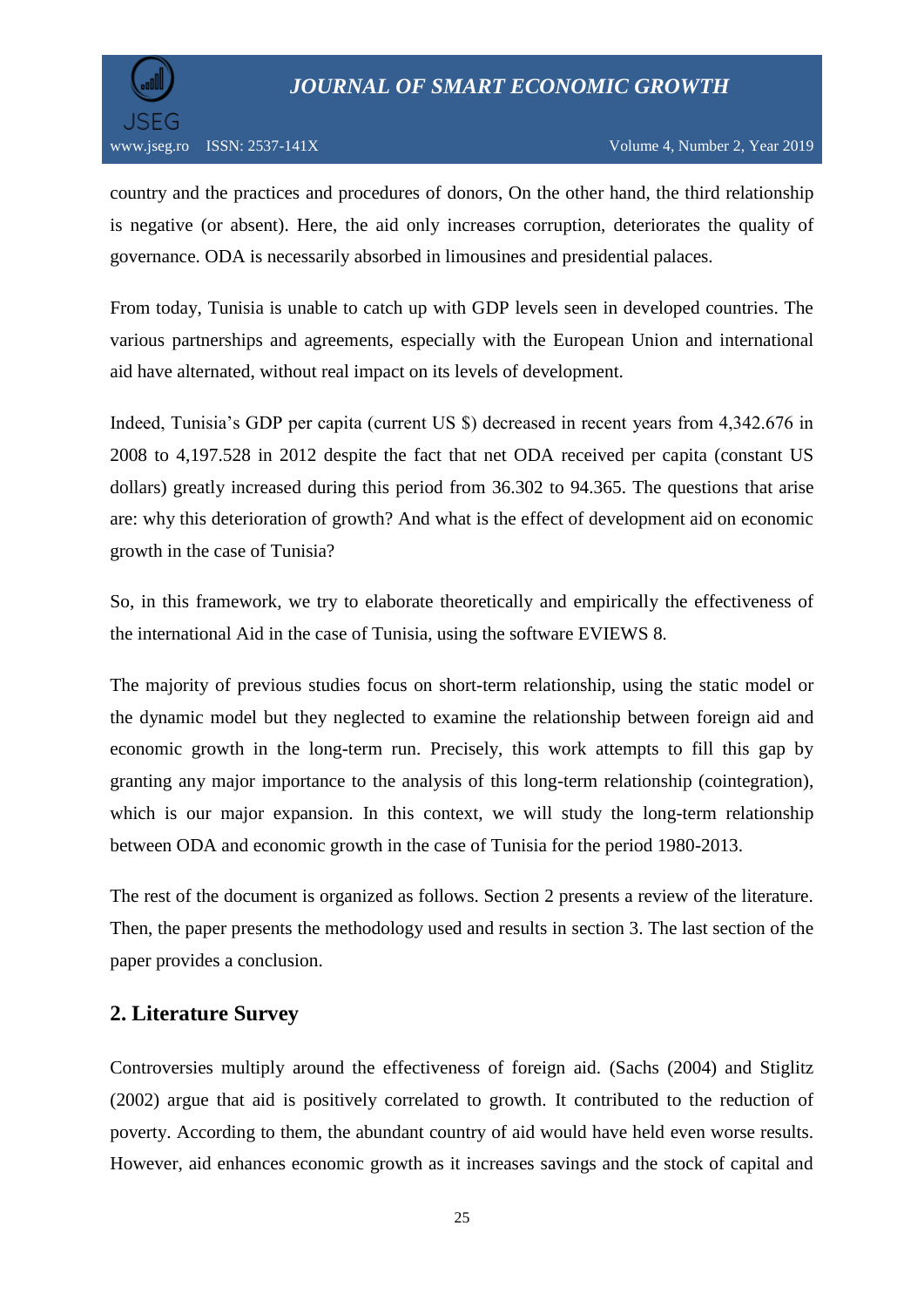

www.jseg.ro ISSN: 2537-141X Volume 4, Number 2, Year 2019

country and the practices and procedures of donors, On the other hand, the third relationship is negative (or absent). Here, the aid only increases corruption, deteriorates the quality of governance. ODA is necessarily absorbed in limousines and presidential palaces.

From today, Tunisia is unable to catch up with GDP levels seen in developed countries. The various partnerships and agreements, especially with the European Union and international aid have alternated, without real impact on its levels of development.

Indeed, Tunisia's GDP per capita (current US \$) decreased in recent years from 4,342.676 in 2008 to 4,197.528 in 2012 despite the fact that net ODA received per capita (constant US dollars) greatly increased during this period from 36.302 to 94.365. The questions that arise are: why this deterioration of growth? And what is the effect of development aid on economic growth in the case of Tunisia?

So, in this framework, we try to elaborate theoretically and empirically the effectiveness of the international Aid in the case of Tunisia, using the software EVIEWS 8.

The majority of previous studies focus on short-term relationship, using the static model or the dynamic model but they neglected to examine the relationship between foreign aid and economic growth in the long-term run. Precisely, this work attempts to fill this gap by granting any major importance to the analysis of this long-term relationship (cointegration), which is our major expansion. In this context, we will study the long-term relationship between ODA and economic growth in the case of Tunisia for the period 1980-2013.

The rest of the document is organized as follows. Section 2 presents a review of the literature. Then, the paper presents the methodology used and results in section 3. The last section of the paper provides a conclusion.

## **2. Literature Survey**

Controversies multiply around the effectiveness of foreign aid. (Sachs (2004) and Stiglitz (2002) argue that aid is positively correlated to growth. It contributed to the reduction of poverty. According to them, the abundant country of aid would have held even worse results. However, aid enhances economic growth as it increases savings and the stock of capital and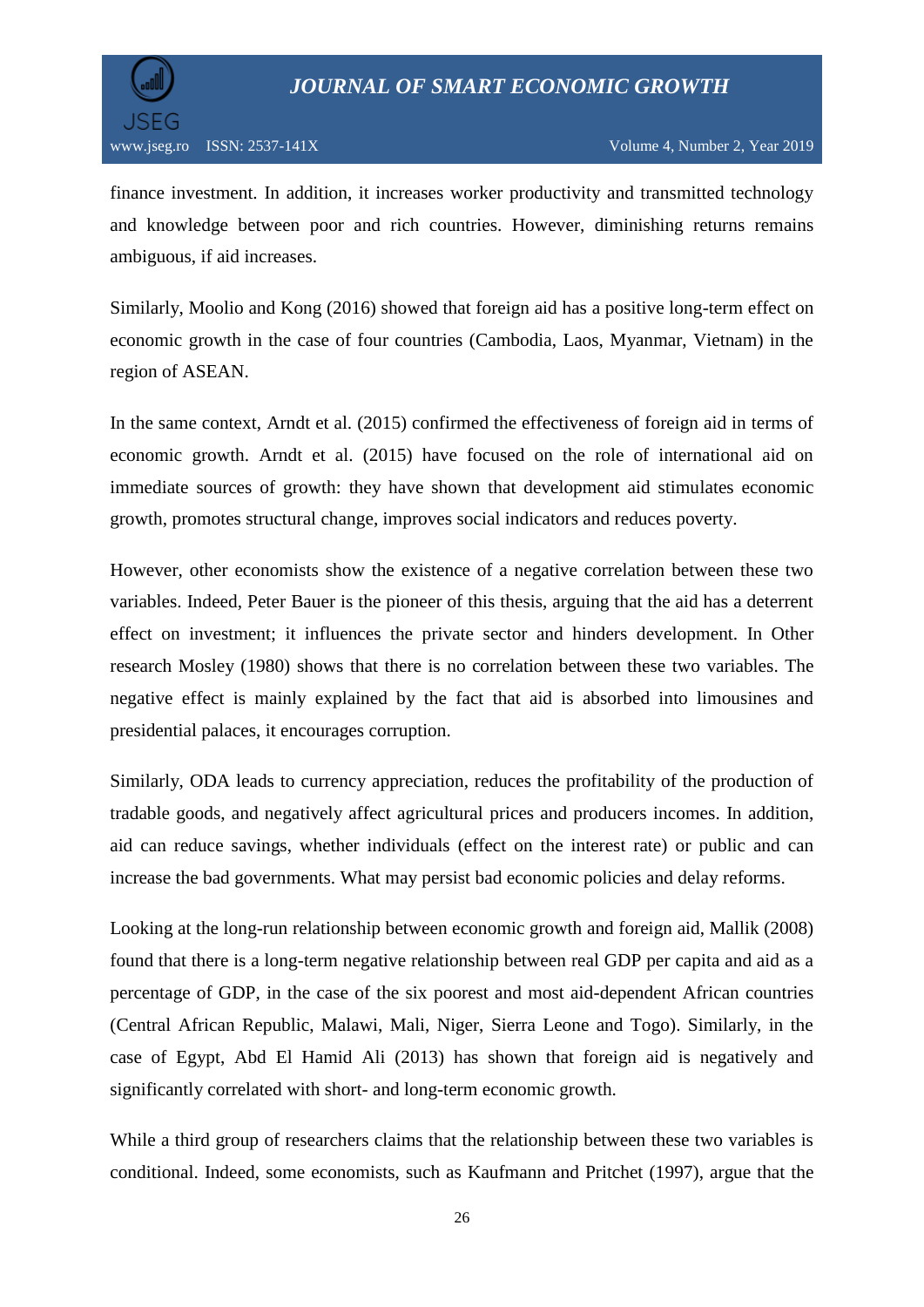



finance investment. In addition, it increases worker productivity and transmitted technology and knowledge between poor and rich countries. However, diminishing returns remains ambiguous, if aid increases.

Similarly, Moolio and Kong (2016) showed that foreign aid has a positive long-term effect on economic growth in the case of four countries (Cambodia, Laos, Myanmar, Vietnam) in the region of ASEAN.

In the same context, Arndt et al. (2015) confirmed the effectiveness of foreign aid in terms of economic growth. Arndt et al. (2015) have focused on the role of international aid on immediate sources of growth: they have shown that development aid stimulates economic growth, promotes structural change, improves social indicators and reduces poverty.

However, other economists show the existence of a negative correlation between these two variables. Indeed, Peter Bauer is the pioneer of this thesis, arguing that the aid has a deterrent effect on investment; it influences the private sector and hinders development. In Other research Mosley (1980) shows that there is no correlation between these two variables. The negative effect is mainly explained by the fact that aid is absorbed into limousines and presidential palaces, it encourages corruption.

Similarly, ODA leads to currency appreciation, reduces the profitability of the production of tradable goods, and negatively affect agricultural prices and producers incomes. In addition, aid can reduce savings, whether individuals (effect on the interest rate) or public and can increase the bad governments. What may persist bad economic policies and delay reforms.

Looking at the long-run relationship between economic growth and foreign aid, Mallik (2008) found that there is a long-term negative relationship between real GDP per capita and aid as a percentage of GDP, in the case of the six poorest and most aid-dependent African countries (Central African Republic, Malawi, Mali, Niger, Sierra Leone and Togo). Similarly, in the case of Egypt, Abd El Hamid Ali (2013) has shown that foreign aid is negatively and significantly correlated with short- and long-term economic growth.

While a third group of researchers claims that the relationship between these two variables is conditional. Indeed, some economists, such as Kaufmann and Pritchet (1997), argue that the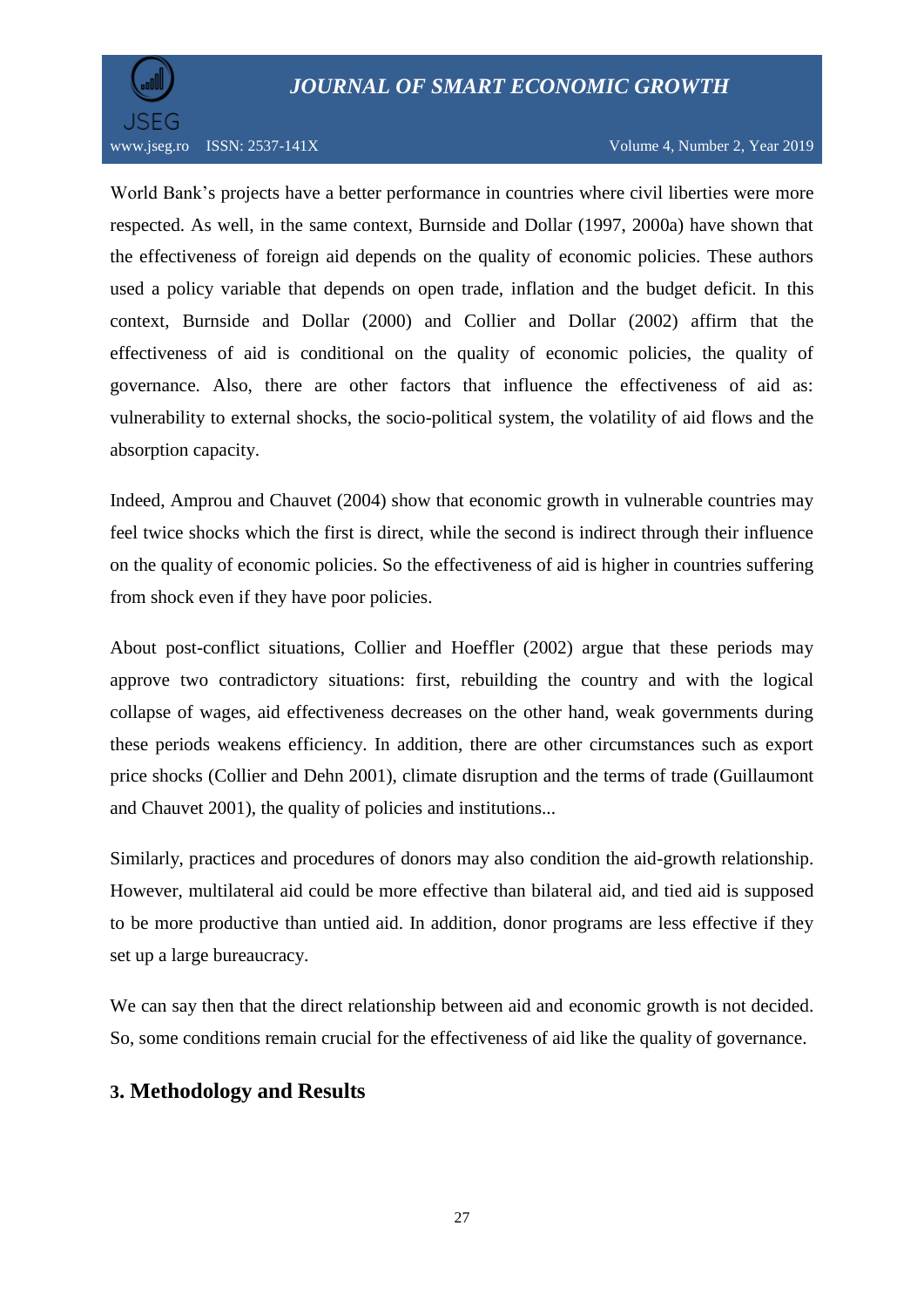

www.jseg.ro ISSN: 2537-141X Volume 4, Number 2, Year 2019

World Bank"s projects have a better performance in countries where civil liberties were more respected. As well, in the same context, Burnside and Dollar (1997, 2000a) have shown that the effectiveness of foreign aid depends on the quality of economic policies. These authors used a policy variable that depends on open trade, inflation and the budget deficit. In this context, Burnside and Dollar (2000) and Collier and Dollar (2002) affirm that the effectiveness of aid is conditional on the quality of economic policies, the quality of governance. Also, there are other factors that influence the effectiveness of aid as: vulnerability to external shocks, the socio-political system, the volatility of aid flows and the absorption capacity.

Indeed, Amprou and Chauvet (2004) show that economic growth in vulnerable countries may feel twice shocks which the first is direct, while the second is indirect through their influence on the quality of economic policies. So the effectiveness of aid is higher in countries suffering from shock even if they have poor policies.

About post-conflict situations, Collier and Hoeffler (2002) argue that these periods may approve two contradictory situations: first, rebuilding the country and with the logical collapse of wages, aid effectiveness decreases on the other hand, weak governments during these periods weakens efficiency. In addition, there are other circumstances such as export price shocks (Collier and Dehn 2001), climate disruption and the terms of trade (Guillaumont and Chauvet 2001), the quality of policies and institutions...

Similarly, practices and procedures of donors may also condition the aid-growth relationship. However, multilateral aid could be more effective than bilateral aid, and tied aid is supposed to be more productive than untied aid. In addition, donor programs are less effective if they set up a large bureaucracy.

We can say then that the direct relationship between aid and economic growth is not decided. So, some conditions remain crucial for the effectiveness of aid like the quality of governance.

## **3. Methodology and Results**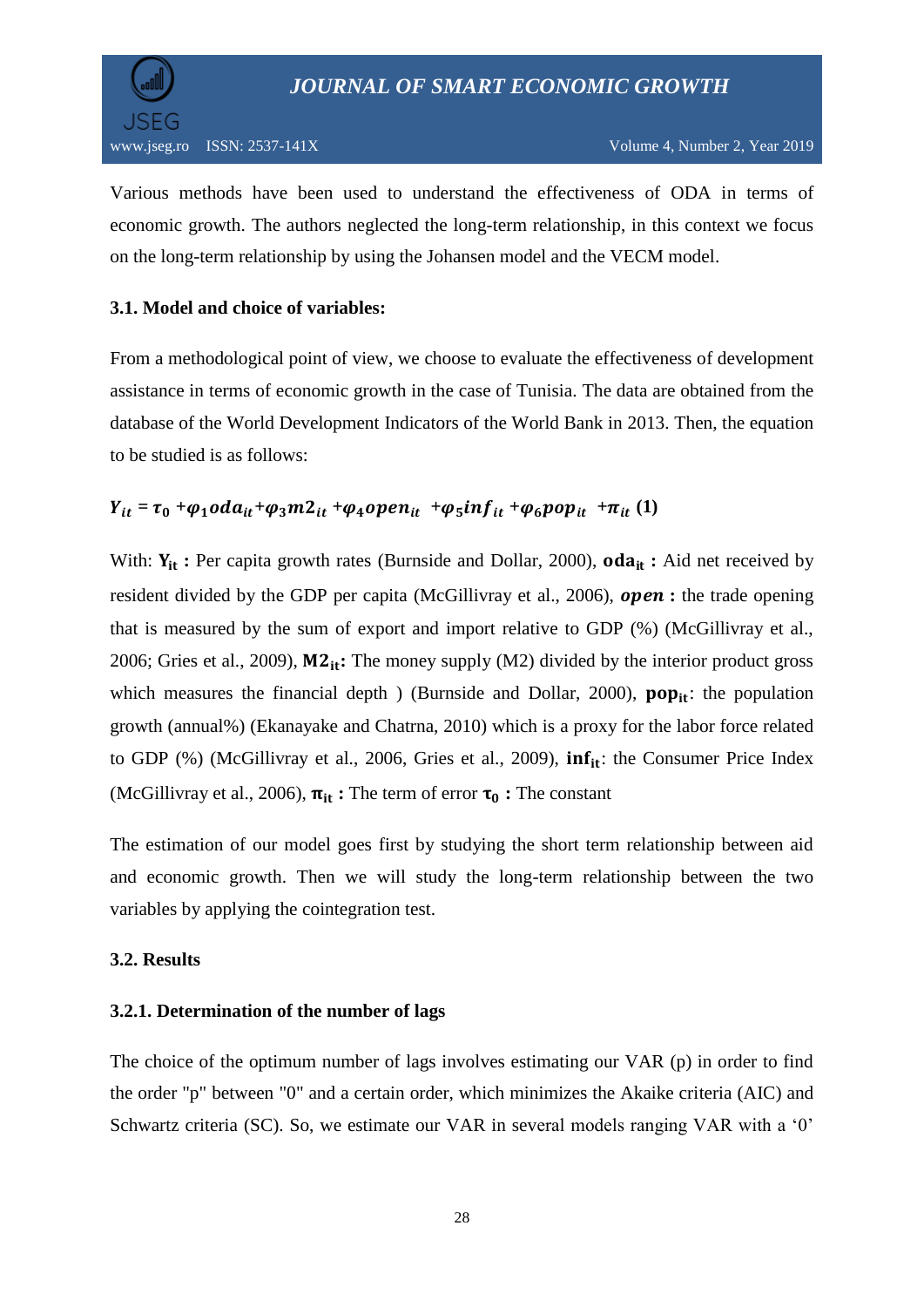

Various methods have been used to understand the effectiveness of ODA in terms of economic growth. The authors neglected the long-term relationship, in this context we focus on the long-term relationship by using the Johansen model and the VECM model.

## **3.1. Model and choice of variables:**

From a methodological point of view, we choose to evaluate the effectiveness of development assistance in terms of economic growth in the case of Tunisia. The data are obtained from the database of the World Development Indicators of the World Bank in 2013. Then, the equation to be studied is as follows:

## $Y_{it} = \tau_0 + \varphi_1 o da_{it} + \varphi_3 m 2_{it} + \varphi_4 o pen_{it} + \varphi_5 inf_{it} + \varphi_6 pop_{it} + \pi_{it} (1)$

With:  $Y_{it}$ : Per capita growth rates (Burnside and Dollar, 2000), **oda**<sub>it</sub>: Aid net received by resident divided by the GDP per capita (McGillivray et al., 2006), *open*: the trade opening that is measured by the sum of export and import relative to GDP (%) (McGillivray et al., 2006; Gries et al., 2009),  $M2_{it}$ : The money supply (M2) divided by the interior product gross which measures the financial depth ) (Burnside and Dollar, 2000),  $pop_{it}$ : the population growth (annual%) (Ekanayake and Chatrna, 2010) which is a proxy for the labor force related to GDP (%) (McGillivray et al., 2006, Gries et al., 2009),  $inf_{it}$ : the Consumer Price Index (McGillivray et al., 2006),  $\pi_{it}$ : The term of error  $\tau_0$ : The constant

The estimation of our model goes first by studying the short term relationship between aid and economic growth. Then we will study the long-term relationship between the two variables by applying the cointegration test.

#### **3.2. Results**

#### **3.2.1. Determination of the number of lags**

The choice of the optimum number of lags involves estimating our VAR (p) in order to find the order "p" between "0" and a certain order, which minimizes the Akaike criteria (AIC) and Schwartz criteria (SC). So, we estimate our VAR in several models ranging VAR with a '0'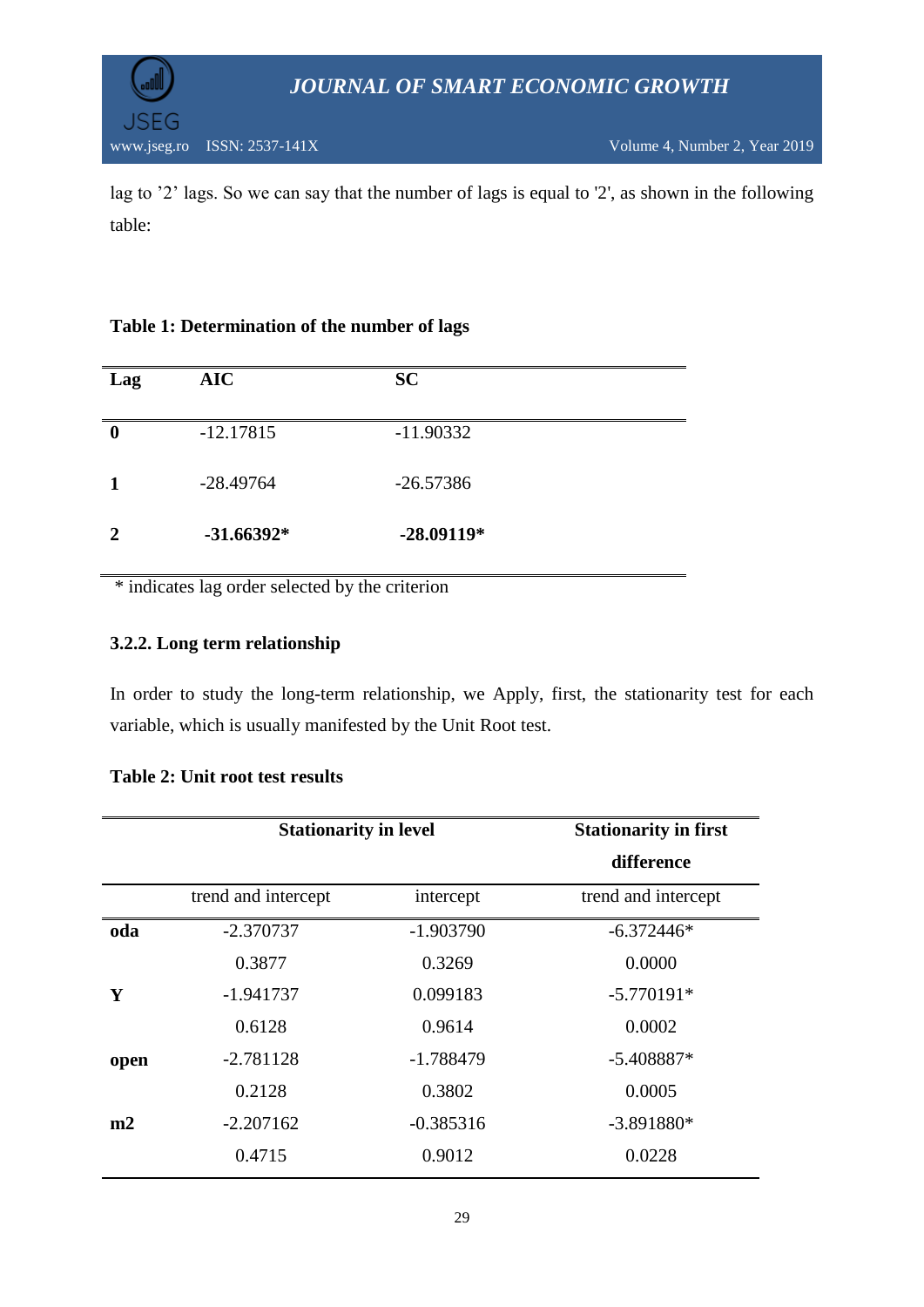



lag to "2" lags. So we can say that the number of lags is equal to '2', as shown in the following table:

#### **Table 1: Determination of the number of lags**

| Lag      | <b>AIC</b>   | <b>SC</b>    |
|----------|--------------|--------------|
| $\bf{0}$ | $-12.17815$  | $-11.90332$  |
|          | $-28.49764$  | $-26.57386$  |
|          | $-31.66392*$ | $-28.09119*$ |

\* indicates lag order selected by the criterion

#### **3.2.2. Long term relationship**

In order to study the long-term relationship, we Apply, first, the stationarity test for each variable, which is usually manifested by the Unit Root test.

|      | <b>Stationarity in level</b> |             | <b>Stationarity in first</b> |
|------|------------------------------|-------------|------------------------------|
|      |                              |             | difference                   |
|      | trend and intercept          | intercept   | trend and intercept          |
| oda  | $-2.370737$                  | $-1.903790$ | $-6.372446*$                 |
|      | 0.3877                       | 0.3269      | 0.0000                       |
| Y    | $-1.941737$                  | 0.099183    | $-5.770191*$                 |
|      | 0.6128                       | 0.9614      | 0.0002                       |
| open | $-2.781128$                  | $-1.788479$ | $-5.408887*$                 |
|      | 0.2128                       | 0.3802      | 0.0005                       |
| m2   | $-2.207162$                  | $-0.385316$ | $-3.891880*$                 |
|      | 0.4715                       | 0.9012      | 0.0228                       |
|      |                              |             |                              |

#### **Table 2: Unit root test results**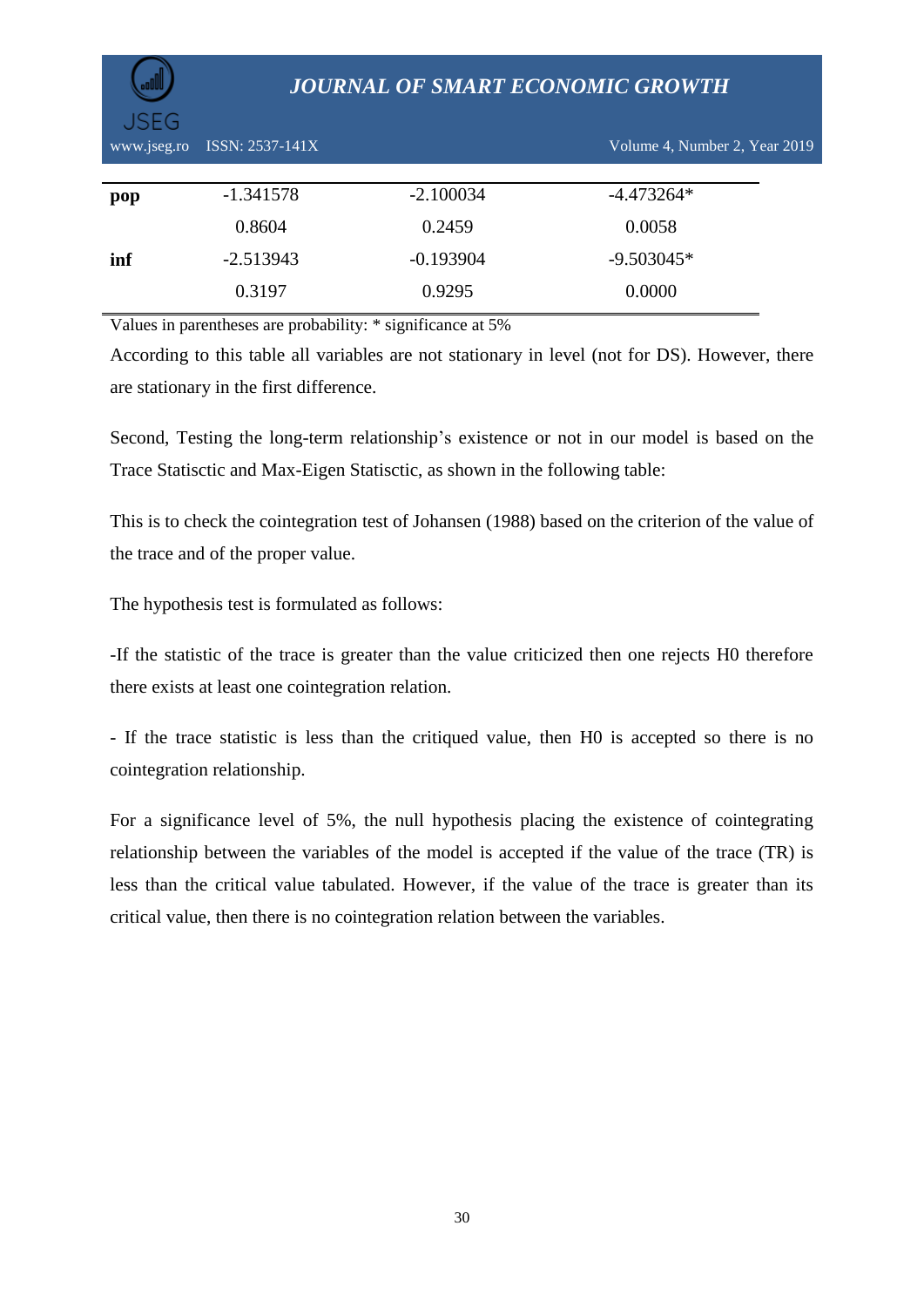| www.jseg.ro | ISSN: 2537-141X |             | Volume 4, Number 2, Year 2019 |  |
|-------------|-----------------|-------------|-------------------------------|--|
|             |                 |             |                               |  |
| pop         | $-1.341578$     | $-2.100034$ | $-4.473264*$                  |  |
|             | 0.8604          | 0.2459      | 0.0058                        |  |
| inf         | $-2.513943$     | $-0.193904$ | $-9.503045*$                  |  |
|             | 0.3197          | 0.9295      | 0.0000                        |  |
|             |                 |             |                               |  |

Values in parentheses are probability: \* significance at 5%

According to this table all variables are not stationary in level (not for DS). However, there are stationary in the first difference.

Second, Testing the long-term relationship"s existence or not in our model is based on the Trace Statisctic and Max-Eigen Statisctic, as shown in the following table:

This is to check the cointegration test of Johansen (1988) based on the criterion of the value of the trace and of the proper value.

The hypothesis test is formulated as follows:

-If the statistic of the trace is greater than the value criticized then one rejects H0 therefore there exists at least one cointegration relation.

- If the trace statistic is less than the critiqued value, then H0 is accepted so there is no cointegration relationship.

For a significance level of 5%, the null hypothesis placing the existence of cointegrating relationship between the variables of the model is accepted if the value of the trace (TR) is less than the critical value tabulated. However, if the value of the trace is greater than its critical value, then there is no cointegration relation between the variables.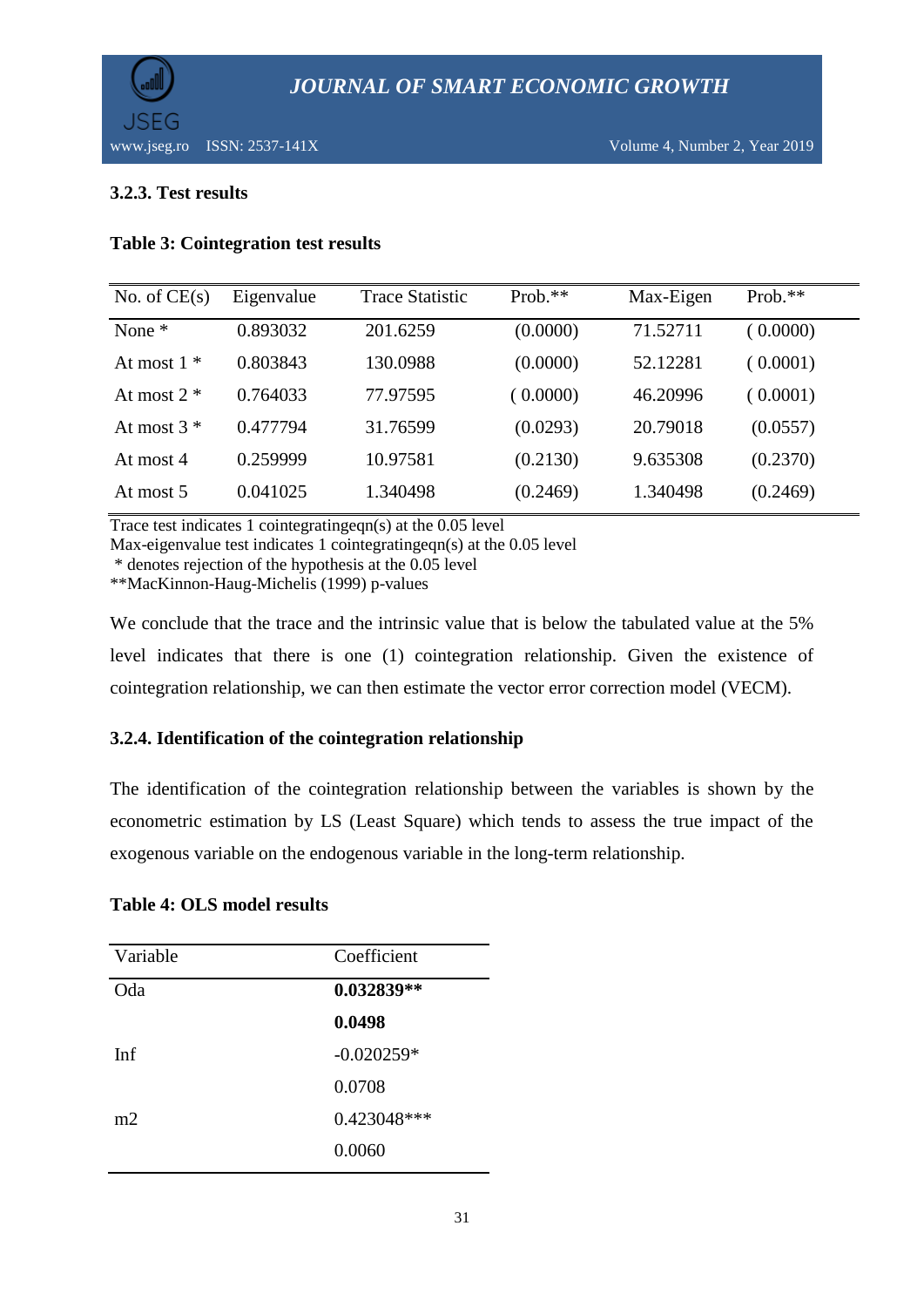

#### **3.2.3. Test results**

#### **Table 3: Cointegration test results**

| No. of $CE(s)$ | Eigenvalue | <b>Trace Statistic</b> | $Prob.**$ | Max-Eigen | $Prob.**$ |
|----------------|------------|------------------------|-----------|-----------|-----------|
| None $*$       | 0.893032   | 201.6259               | (0.0000)  | 71.52711  | (0.0000)  |
| At most $1 *$  | 0.803843   | 130.0988               | (0.0000)  | 52.12281  | (0.0001)  |
| At most $2 *$  | 0.764033   | 77.97595               | (0.0000)  | 46.20996  | (0.0001)  |
| At most $3 *$  | 0.477794   | 31.76599               | (0.0293)  | 20.79018  | (0.0557)  |
| At most $4$    | 0.259999   | 10.97581               | (0.2130)  | 9.635308  | (0.2370)  |
| At most 5      | 0.041025   | 1.340498               | (0.2469)  | 1.340498  | (0.2469)  |

Trace test indicates 1 cointegratingeqn(s) at the 0.05 level

Max-eigenvalue test indicates 1 cointegratingeqn(s) at the 0.05 level

\* denotes rejection of the hypothesis at the 0.05 level

\*\*MacKinnon-Haug-Michelis (1999) p-values

We conclude that the trace and the intrinsic value that is below the tabulated value at the 5% level indicates that there is one (1) cointegration relationship. Given the existence of cointegration relationship, we can then estimate the vector error correction model (VECM).

#### **3.2.4. Identification of the cointegration relationship**

The identification of the cointegration relationship between the variables is shown by the econometric estimation by LS (Least Square) which tends to assess the true impact of the exogenous variable on the endogenous variable in the long-term relationship.

#### **Table 4: OLS model results**

| Variable | Coefficient  |
|----------|--------------|
| Oda      | 0.032839**   |
|          | 0.0498       |
| Inf      | $-0.020259*$ |
|          | 0.0708       |
| m2       | 0.423048***  |
|          | 0.0060       |
|          |              |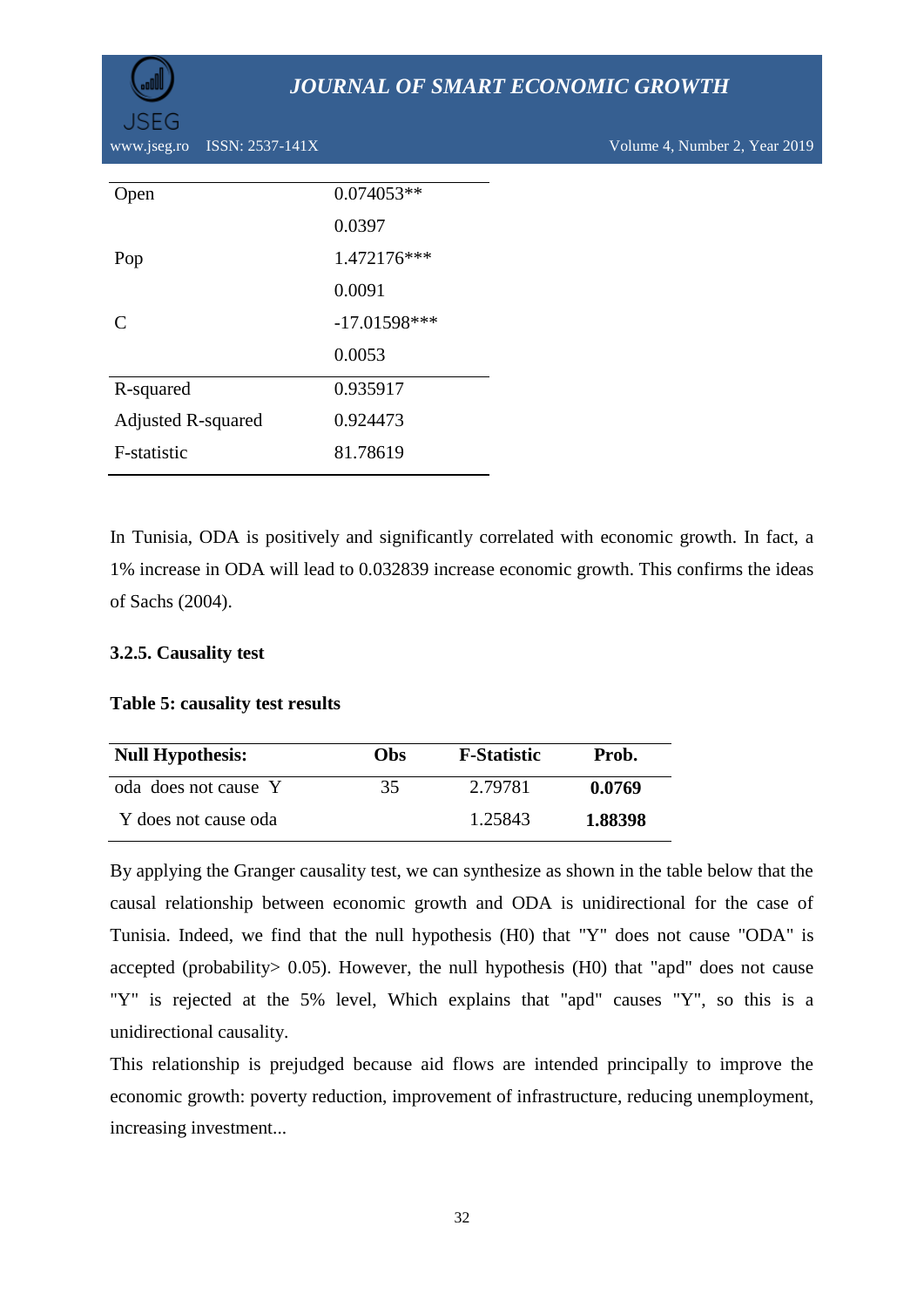

www.jseg.ro ISSN: 2537-141X Volume 4, Number 2, Year 2019

| <b>Open</b>                 | $0.074053**$   |
|-----------------------------|----------------|
|                             | 0.0397         |
| Pop                         | 1.472176***    |
|                             | 0.0091         |
| $\mathcal{C}_{\mathcal{C}}$ | $-17.01598***$ |
|                             | 0.0053         |
| R-squared                   | 0.935917       |
| <b>Adjusted R-squared</b>   | 0.924473       |
| F-statistic                 | 81.78619       |
|                             |                |

In Tunisia, ODA is positively and significantly correlated with economic growth. In fact, a 1% increase in ODA will lead to 0.032839 increase economic growth. This confirms the ideas of Sachs (2004).

#### **3.2.5. Causality test**

#### **Table 5: causality test results**

| <b>Null Hypothesis:</b> | <b>Obs</b> | <b>F-Statistic</b> | Prob.   |
|-------------------------|------------|--------------------|---------|
| oda does not cause Y    | 35         | 2.79781            | 0.0769  |
| Y does not cause oda    |            | 1.25843            | 1.88398 |

By applying the Granger causality test, we can synthesize as shown in the table below that the causal relationship between economic growth and ODA is unidirectional for the case of Tunisia. Indeed, we find that the null hypothesis (H0) that "Y" does not cause "ODA" is accepted (probability> 0.05). However, the null hypothesis (H0) that "apd" does not cause "Y" is rejected at the 5% level, Which explains that "apd" causes "Y", so this is a unidirectional causality.

This relationship is prejudged because aid flows are intended principally to improve the economic growth: poverty reduction, improvement of infrastructure, reducing unemployment, increasing investment...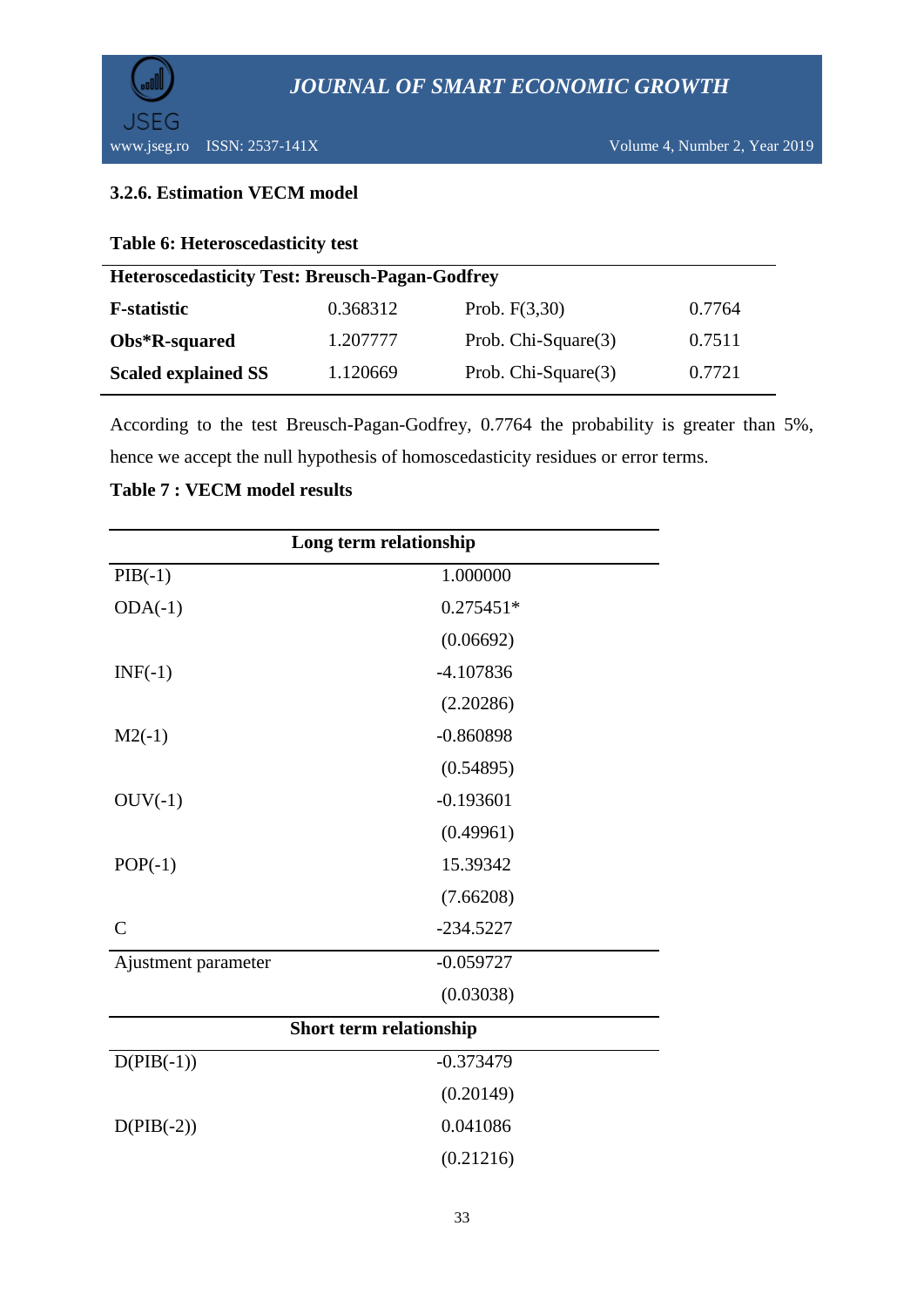

### **3.2.6. Estimation VECM model**

**Table 6: Heteroscedasticity test**

| <b>Heteroscedasticity Test: Breusch-Pagan-Godfrey</b> |          |                     |        |  |
|-------------------------------------------------------|----------|---------------------|--------|--|
| <b>F</b> -statistic                                   | 0.368312 | Prob. $F(3,30)$     | 0.7764 |  |
| Obs*R-squared                                         | 1.207777 | Prob. Chi-Square(3) | 0.7511 |  |
| <b>Scaled explained SS</b>                            | 1.120669 | Prob. Chi-Square(3) | 0.7721 |  |

According to the test Breusch-Pagan-Godfrey, 0.7764 the probability is greater than 5%, hence we accept the null hypothesis of homoscedasticity residues or error terms.

| Long term relationship  |             |  |  |
|-------------------------|-------------|--|--|
| $PIB(-1)$               | 1.000000    |  |  |
| $ODA(-1)$               | $0.275451*$ |  |  |
|                         | (0.06692)   |  |  |
| $INF(-1)$               | $-4.107836$ |  |  |
|                         | (2.20286)   |  |  |
| $M2(-1)$                | $-0.860898$ |  |  |
|                         | (0.54895)   |  |  |
| $OUV(-1)$               | $-0.193601$ |  |  |
|                         | (0.49961)   |  |  |
| $POP(-1)$               | 15.39342    |  |  |
|                         | (7.66208)   |  |  |
| $\mathcal{C}$           | $-234.5227$ |  |  |
| Ajustment parameter     | $-0.059727$ |  |  |
|                         | (0.03038)   |  |  |
| Short term relationship |             |  |  |
| $D(PIB(-1))$            | $-0.373479$ |  |  |
|                         | (0.20149)   |  |  |
| $D(PIB(-2))$            | 0.041086    |  |  |
|                         | (0.21216)   |  |  |

#### **Table 7 : VECM model results**

l,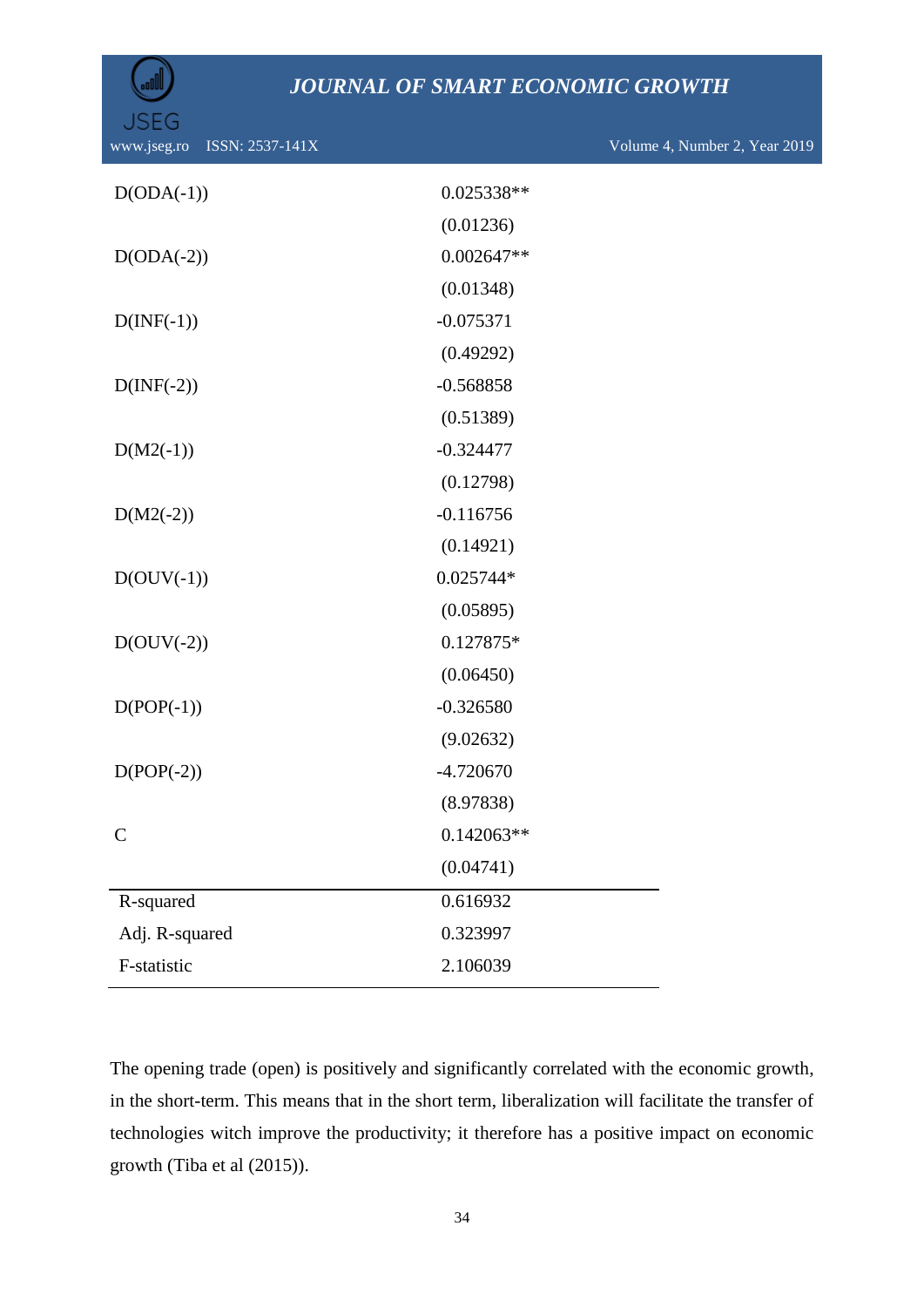| <b>ISSN:</b> $2\overline{537-141}X$<br>www.jseg.ro |              | Volume 4, Number 2, Year 2019 |
|----------------------------------------------------|--------------|-------------------------------|
| $D(ODA(-1))$                                       | 0.025338**   |                               |
|                                                    | (0.01236)    |                               |
| $D(ODA(-2))$                                       | $0.002647**$ |                               |
|                                                    | (0.01348)    |                               |
| $D(\text{INF}(-1))$                                | $-0.075371$  |                               |
|                                                    | (0.49292)    |                               |
| $D(\text{INF}(-2))$                                | $-0.568858$  |                               |
|                                                    | (0.51389)    |                               |
| $D(M2(-1))$                                        | $-0.324477$  |                               |
|                                                    | (0.12798)    |                               |
| $D(M2(-2))$                                        | $-0.116756$  |                               |
|                                                    | (0.14921)    |                               |
| $D(OUV(-1))$                                       | 0.025744*    |                               |
|                                                    | (0.05895)    |                               |
| $D(OUV(-2))$                                       | 0.127875*    |                               |
|                                                    | (0.06450)    |                               |
| $D(POP(-1))$                                       | $-0.326580$  |                               |
|                                                    | (9.02632)    |                               |
| $D(POP(-2))$                                       | $-4.720670$  |                               |
|                                                    | (8.97838)    |                               |
| $\mathsf{C}$                                       | $0.142063**$ |                               |
|                                                    | (0.04741)    |                               |
| R-squared                                          | 0.616932     |                               |
| Adj. R-squared                                     | 0.323997     |                               |
| F-statistic                                        | 2.106039     |                               |
|                                                    |              |                               |

The opening trade (open) is positively and significantly correlated with the economic growth, in the short-term. This means that in the short term, liberalization will facilitate the transfer of technologies witch improve the productivity; it therefore has a positive impact on economic growth (Tiba et al (2015)).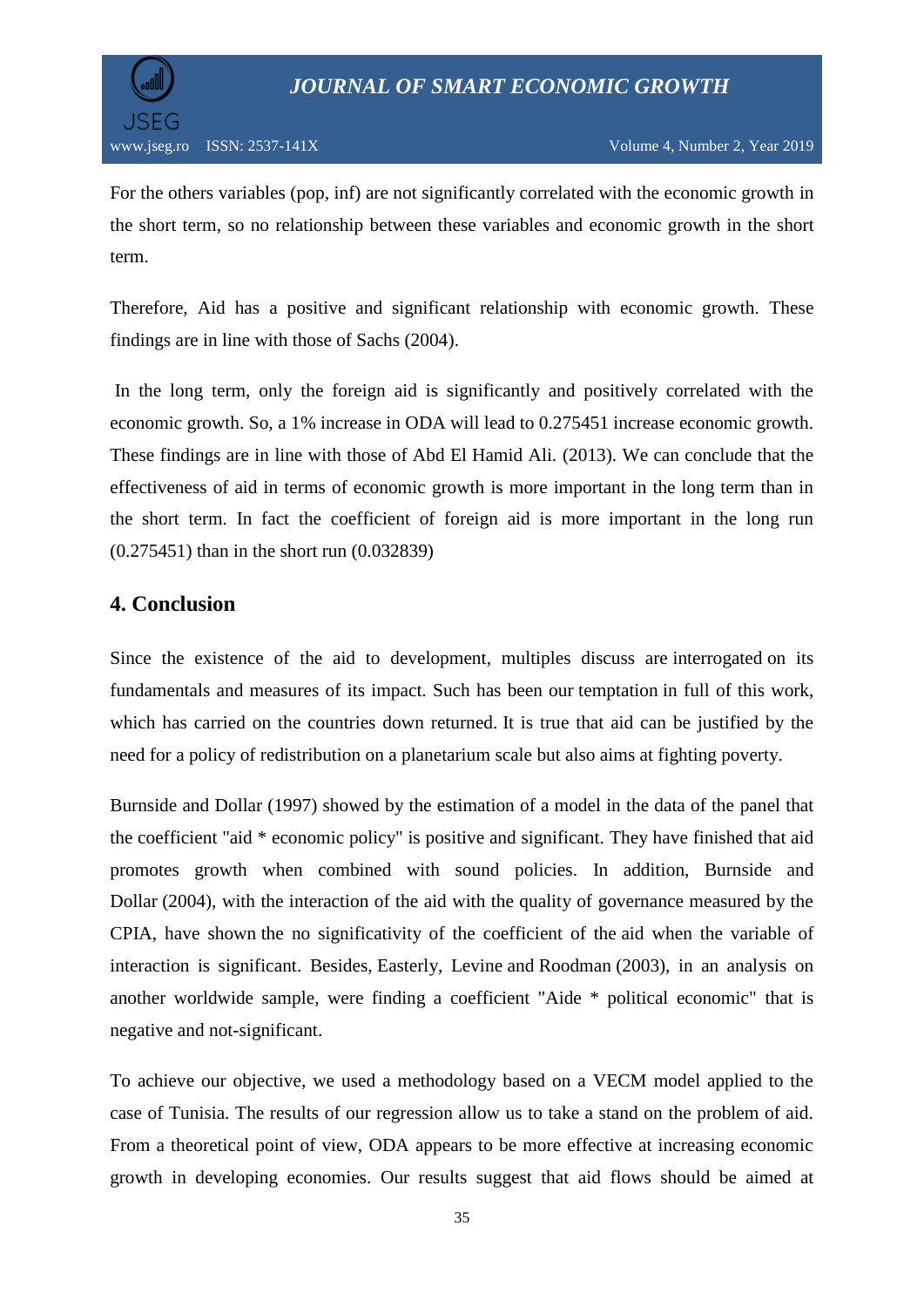

For the others variables (pop, inf) are not significantly correlated with the economic growth in the short term, so no relationship between these variables and economic growth in the short term.

Therefore, Aid has a positive and significant relationship with economic growth. These findings are in line with those of Sachs (2004).

In the long term, only the foreign aid is significantly and positively correlated with the economic growth. So, a 1% increase in ODA will lead to 0.275451 increase economic growth. These findings are in line with those of Abd El Hamid Ali. (2013). We can conclude that the effectiveness of aid in terms of economic growth is more important in the long term than in the short term. In fact the coefficient of foreign aid is more important in the long run (0.275451) than in the short run (0.032839)

## **4. Conclusion**

Since the existence of the aid to development, multiples discuss are interrogated on its fundamentals and measures of its impact. Such has been our temptation in full of this work, which has carried on the countries down returned. It is true that aid can be justified by the need for a policy of redistribution on a planetarium scale but also aims at fighting poverty.

Burnside and Dollar (1997) showed by the estimation of a model in the data of the panel that the coefficient "aid \* economic policy" is positive and significant. They have finished that aid promotes growth when combined with sound policies. In addition, Burnside and Dollar (2004), with the interaction of the aid with the quality of governance measured by the CPIA, have shown the no significativity of the coefficient of the aid when the variable of interaction is significant. Besides, Easterly, Levine and Roodman (2003), in an analysis on another worldwide sample, were finding a coefficient "Aide \* political economic" that is negative and not-significant.

To achieve our objective, we used a methodology based on a VECM model applied to the case of Tunisia. The results of our regression allow us to take a stand on the problem of aid. From a theoretical point of view, ODA appears to be more effective at increasing economic growth in developing economies. Our results suggest that aid flows should be aimed at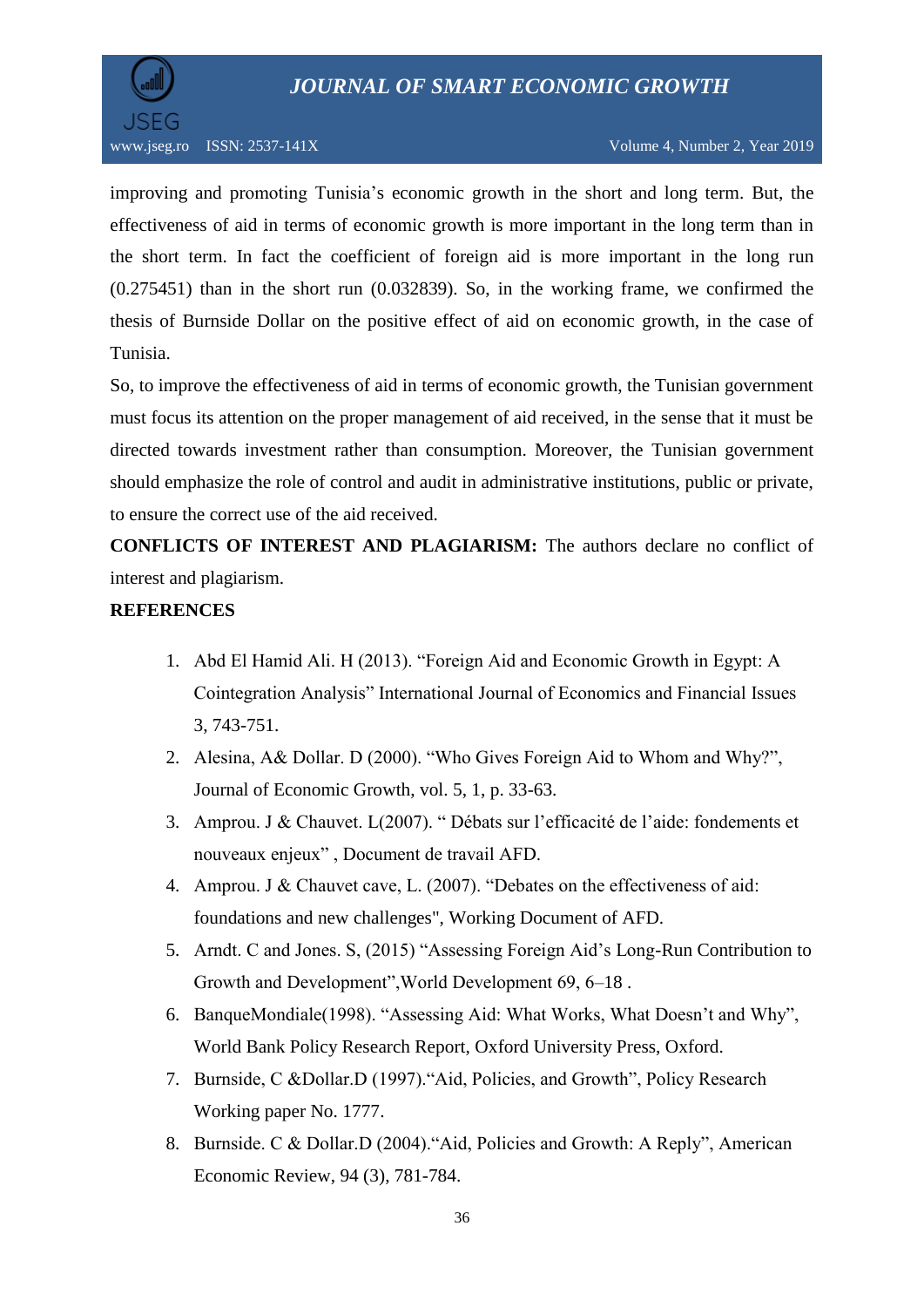

improving and promoting Tunisia's economic growth in the short and long term. But, the effectiveness of aid in terms of economic growth is more important in the long term than in the short term. In fact the coefficient of foreign aid is more important in the long run (0.275451) than in the short run (0.032839). So, in the working frame, we confirmed the thesis of Burnside Dollar on the positive effect of aid on economic growth, in the case of Tunisia.

So, to improve the effectiveness of aid in terms of economic growth, the Tunisian government must focus its attention on the proper management of aid received, in the sense that it must be directed towards investment rather than consumption. Moreover, the Tunisian government should emphasize the role of control and audit in administrative institutions, public or private, to ensure the correct use of the aid received.

**CONFLICTS OF INTEREST AND PLAGIARISM:** The authors declare no conflict of interest and plagiarism.

#### **REFERENCES**

- 1. Abd El Hamid Ali. H (2013). "Foreign Aid and Economic Growth in Egypt: A Cointegration Analysis" International Journal of Economics and Financial Issues 3, 743-751.
- 2. Alesina, A& Dollar. D (2000). "Who Gives Foreign Aid to Whom and Why?", Journal of Economic Growth, vol. 5, 1, p. 33-63.
- 3. Amprou. J & Chauvet. L(2007). " Débats sur l"efficacité de l"aide: fondements et nouveaux enjeux" , Document de travail AFD.
- 4. Amprou. J & Chauvet cave, L. (2007). "Debates on the effectiveness of aid: foundations and new challenges", Working Document of AFD.
- 5. Arndt. C and Jones. S, (2015) "Assessing Foreign Aid"s Long-Run Contribution to Growth and Development",World Development 69, 6–18 .
- 6. BanqueMondiale(1998). "Assessing Aid: What Works, What Doesn"t and Why", World Bank Policy Research Report, Oxford University Press, Oxford.
- 7. Burnside, C &Dollar.D (1997)."Aid, Policies, and Growth", Policy Research Working paper No. 1777.
- 8. Burnside. C & Dollar.D (2004)."Aid, Policies and Growth: A Reply", American Economic Review, 94 (3), 781-784.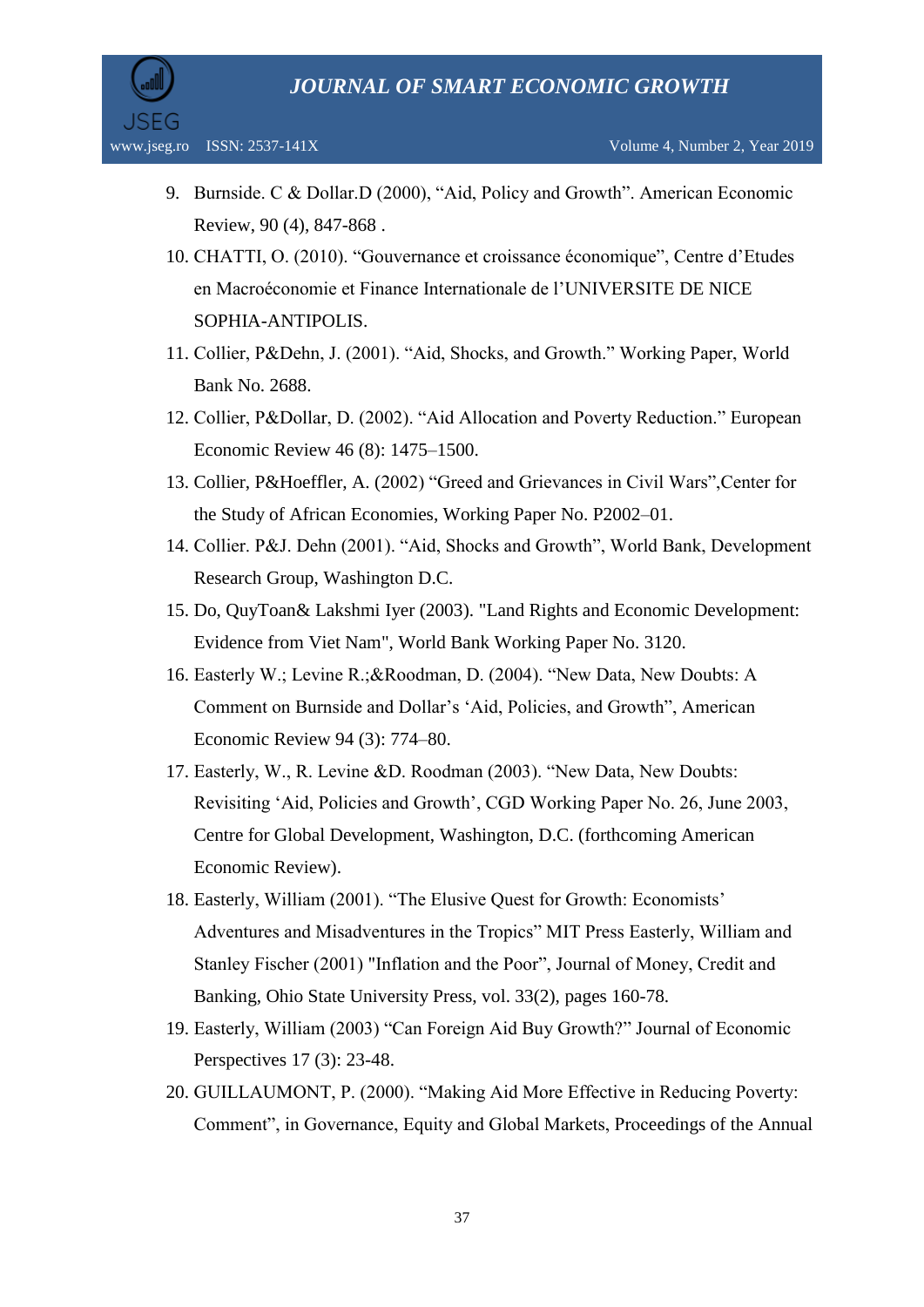

- 9. Burnside. C & Dollar.D (2000), "Aid, Policy and Growth". American Economic Review, 90 (4), 847-868 .
- 10. CHATTI, O. (2010). "Gouvernance et croissance économique", Centre d"Etudes en Macroéconomie et Finance Internationale de l"UNIVERSITE DE NICE SOPHIA-ANTIPOLIS.
- 11. Collier, P&Dehn, J. (2001). "Aid, Shocks, and Growth." Working Paper, World Bank No. 2688.
- 12. Collier, P&Dollar, D. (2002). "Aid Allocation and Poverty Reduction." European Economic Review 46 (8): 1475–1500.
- 13. Collier, P&Hoeffler, A. (2002) "Greed and Grievances in Civil Wars",Center for the Study of African Economies, Working Paper No. P2002–01.
- 14. Collier. P&J. Dehn (2001). "Aid, Shocks and Growth", World Bank, Development Research Group, Washington D.C.
- 15. Do, QuyToan& Lakshmi Iyer (2003). "Land Rights and Economic Development: Evidence from Viet Nam", World Bank Working Paper No. 3120.
- 16. Easterly W.; Levine R.;&Roodman, D. (2004). "New Data, New Doubts: A Comment on Burnside and Dollar"s "Aid, Policies, and Growth", American Economic Review 94 (3): 774–80.
- 17. Easterly, W., R. Levine &D. Roodman (2003). "New Data, New Doubts: Revisiting "Aid, Policies and Growth", CGD Working Paper No. 26, June 2003, Centre for Global Development, Washington, D.C. (forthcoming American Economic Review).
- 18. Easterly, William (2001). "The Elusive Quest for Growth: Economists" Adventures and Misadventures in the Tropics" MIT Press Easterly, William and Stanley Fischer (2001) "Inflation and the Poor", Journal of Money, Credit and Banking, Ohio State University Press, vol. 33(2), pages 160-78.
- 19. Easterly, William (2003) "Can Foreign Aid Buy Growth?" Journal of Economic Perspectives 17 (3): 23-48.
- 20. GUILLAUMONT, P. (2000). "Making Aid More Effective in Reducing Poverty: Comment", in Governance, Equity and Global Markets, Proceedings of the Annual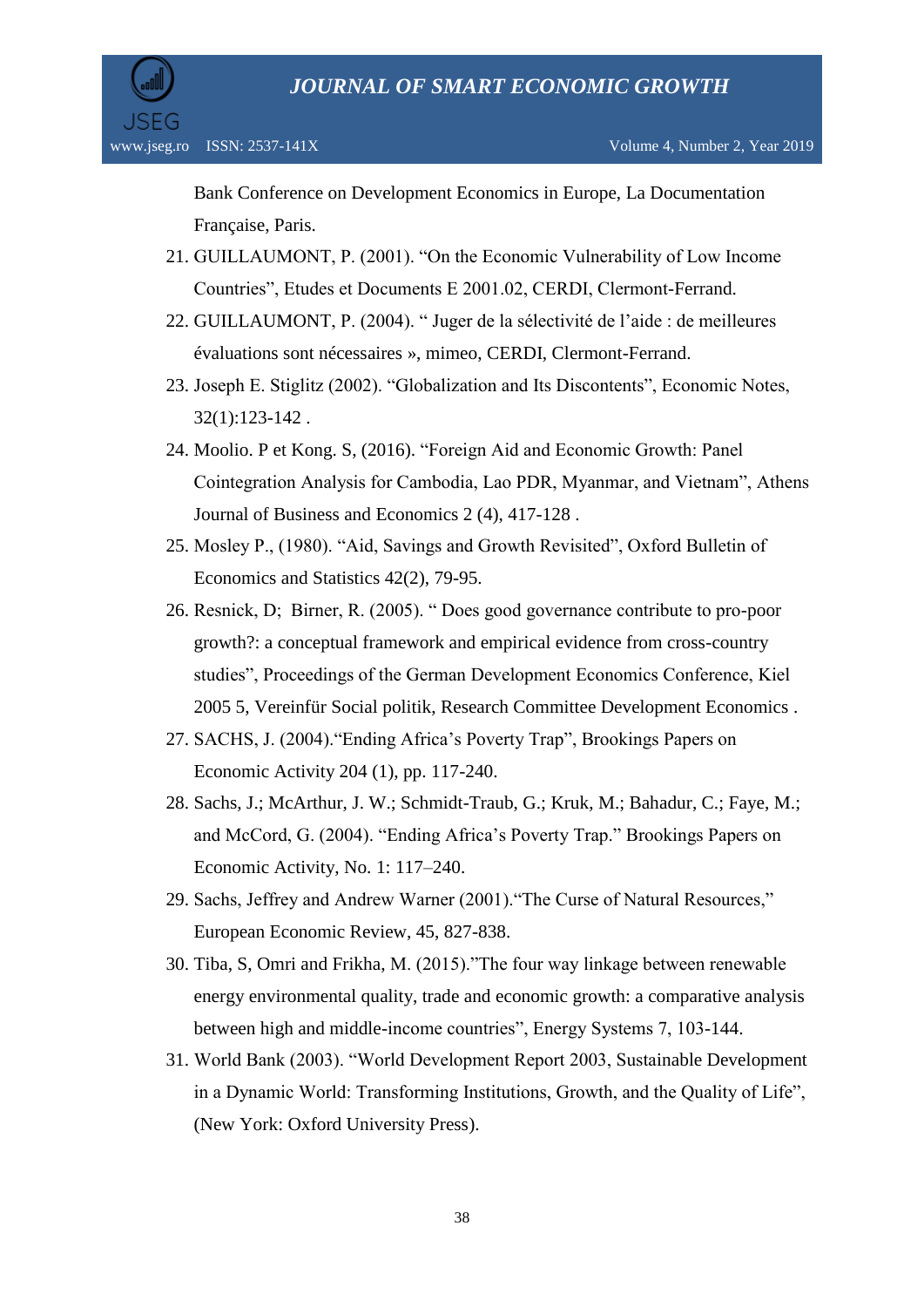Bank Conference on Development Economics in Europe, La Documentation Française, Paris.

- 21. GUILLAUMONT, P. (2001). "On the Economic Vulnerability of Low Income Countries", Etudes et Documents E 2001.02, CERDI, Clermont-Ferrand.
- 22. GUILLAUMONT, P. (2004). " Juger de la sélectivité de l"aide : de meilleures évaluations sont nécessaires », mimeo, CERDI, Clermont-Ferrand.
- 23. Joseph E. Stiglitz (2002). "Globalization and Its Discontents", Economic Notes, 32(1):123-142 .
- 24. Moolio. P et Kong. S, (2016). "Foreign Aid and Economic Growth: Panel Cointegration Analysis for Cambodia, Lao PDR, Myanmar, and Vietnam", Athens Journal of Business and Economics 2 (4), 417-128 .
- 25. Mosley P., (1980). "Aid, Savings and Growth Revisited", Oxford Bulletin of Economics and Statistics 42(2), 79-95.
- 26. Resnick, D; Birner, R. (2005). " Does good governance contribute to pro-poor growth?: a conceptual framework and empirical evidence from cross-country studies", Proceedings of the German Development Economics Conference, Kiel 2005 5, Vereinfür Social politik, Research Committee Development Economics .
- 27. SACHS, J. (2004)."Ending Africa"s Poverty Trap", Brookings Papers on Economic Activity 204 (1), pp. 117-240.
- 28. Sachs, J.; McArthur, J. W.; Schmidt-Traub, G.; Kruk, M.; Bahadur, C.; Faye, M.; and McCord, G. (2004). "Ending Africa"s Poverty Trap." Brookings Papers on Economic Activity, No. 1: 117–240.
- 29. Sachs, Jeffrey and Andrew Warner (2001)."The Curse of Natural Resources," European Economic Review, 45, 827-838.
- 30. Tiba, S, Omri and Frikha, M. (2015)."The four way linkage between renewable energy environmental quality, trade and economic growth: a comparative analysis between high and middle-income countries", Energy Systems 7, 103-144.
- 31. World Bank (2003). "World Development Report 2003, Sustainable Development in a Dynamic World: Transforming Institutions, Growth, and the Quality of Life", (New York: Oxford University Press).